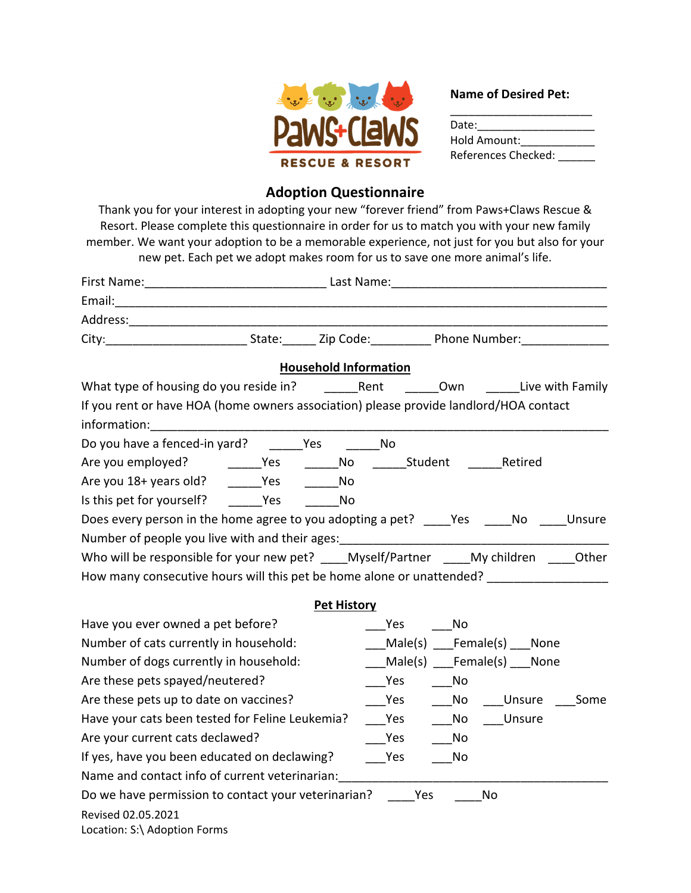

## **Name of Desired Pet:**

| Date:               |  |
|---------------------|--|
| Hold Amount:        |  |
| References Checked: |  |

## **Adoption Questionnaire**

Thank you for your interest in adopting your new "forever friend" from Paws+Claws Rescue & Resort. Please complete this questionnaire in order for us to match you with your new family member. We want your adoption to be a memorable experience, not just for you but also for your new pet. Each pet we adopt makes room for us to save one more animal's life.

| City: City: City: City: City: City: City: City: City: City: City: City: City: City: City: City: City: City: City: City: City: City: City: City: City: City: City: City: City: City: City: City: City: City: City: City: City: |                              |                                                                                                                       |                             |      |
|-------------------------------------------------------------------------------------------------------------------------------------------------------------------------------------------------------------------------------|------------------------------|-----------------------------------------------------------------------------------------------------------------------|-----------------------------|------|
|                                                                                                                                                                                                                               | <b>Household Information</b> |                                                                                                                       |                             |      |
|                                                                                                                                                                                                                               |                              |                                                                                                                       |                             |      |
| If you rent or have HOA (home owners association) please provide landlord/HOA contact                                                                                                                                         |                              |                                                                                                                       |                             |      |
| information:                                                                                                                                                                                                                  |                              |                                                                                                                       |                             |      |
| Do you have a fenced-in yard? _______Yes                                                                                                                                                                                      |                              | <b>No.</b>                                                                                                            |                             |      |
|                                                                                                                                                                                                                               |                              |                                                                                                                       |                             |      |
| Are you 18+ years old? _______Yes _________No                                                                                                                                                                                 |                              |                                                                                                                       |                             |      |
| Is this pet for yourself? No No                                                                                                                                                                                               |                              |                                                                                                                       |                             |      |
| Does every person in the home agree to you adopting a pet? ____Yes _____No ____Unsure                                                                                                                                         |                              |                                                                                                                       |                             |      |
| Number of people you live with and their ages: _________________________________                                                                                                                                              |                              |                                                                                                                       |                             |      |
| Who will be responsible for your new pet? ____Myself/Partner _ My children Other                                                                                                                                              |                              |                                                                                                                       |                             |      |
| How many consecutive hours will this pet be home alone or unattended?                                                                                                                                                         |                              |                                                                                                                       |                             |      |
|                                                                                                                                                                                                                               | <b>Pet History</b>           |                                                                                                                       |                             |      |
| Have you ever owned a pet before?                                                                                                                                                                                             |                              | Yes No                                                                                                                |                             |      |
| Number of cats currently in household:                                                                                                                                                                                        |                              | Male(s) Female(s) None                                                                                                |                             |      |
| Number of dogs currently in household:                                                                                                                                                                                        |                              | Male(s) Female(s) None                                                                                                |                             |      |
| Are these pets spayed/neutered?                                                                                                                                                                                               |                              | Yes                                                                                                                   | $\overline{\phantom{0}}$ No |      |
| Are these pets up to date on vaccines?                                                                                                                                                                                        |                              |                                                                                                                       | Yes No Unsure               | Some |
| Have your cats been tested for Feline Leukemia?                                                                                                                                                                               |                              | <b>Preset Service Service Service Service Service Service Service Service Service Service Service Service Service</b> | No Unsure                   |      |
| Are your current cats declawed?                                                                                                                                                                                               |                              | <b>Pres</b>                                                                                                           | <b>No</b>                   |      |
| If yes, have you been educated on declawing?                                                                                                                                                                                  |                              | <b>Pres</b>                                                                                                           | No.                         |      |
| Name and contact info of current veterinarian:                                                                                                                                                                                |                              |                                                                                                                       |                             |      |
| Do we have permission to contact your veterinarian? _____Yes                                                                                                                                                                  |                              |                                                                                                                       | No                          |      |
| Revised 02.05.2021<br>Location: S:\ Adoption Forms                                                                                                                                                                            |                              |                                                                                                                       |                             |      |